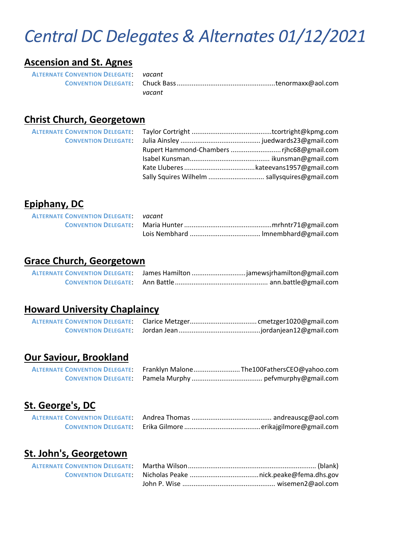# *Central DC Delegates & Alternates 01/12/2021*

## **Ascension and St. Agnes**

| <b>ALTERNATE CONVENTION DELEGATE:</b> vacant |        |  |
|----------------------------------------------|--------|--|
|                                              |        |  |
|                                              | vacant |  |

#### **Christ Church, Georgetown**

#### **Epiphany, DC**

| <b>ALTERNATE CONVENTION DELEGATE:</b> vacant |  |
|----------------------------------------------|--|
|                                              |  |
|                                              |  |

#### **Grace Church, Georgetown**

|  | ALTERNATE CONVENTION DELEGATE: James Hamilton jamewsjrhamilton@gmail.com |
|--|--------------------------------------------------------------------------|
|  |                                                                          |

#### **Howard University Chaplaincy**

# **Our Saviour, Brookland**

|  | ALTERNATE CONVENTION DELEGATE: Franklyn MaloneThe100FathersCEO@yahoo.com |
|--|--------------------------------------------------------------------------|
|  |                                                                          |

## **St. George's, DC**

## **St. John's, Georgetown**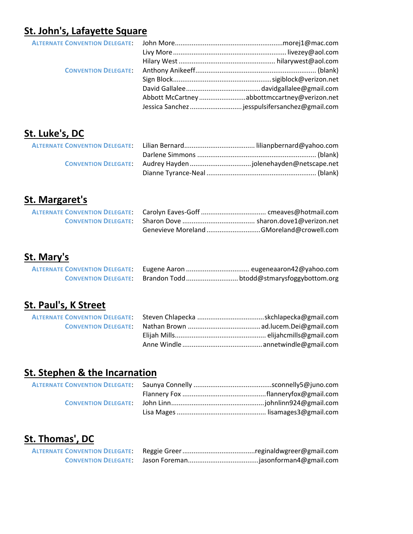# **St. John's, Lafayette Square**

|  | Abbott McCartneyabbottmccartney@verizon.net   |
|--|-----------------------------------------------|
|  | Jessica Sanchez jesspulsifersanchez@gmail.com |

# **St. Luke's, DC**

# **St. Margaret's**

|  | Genevieve Moreland GMoreland@crowell.com |
|--|------------------------------------------|

# **St. Mary's**

| <b>ALTERNATE CONVENTION DELEGATE:</b> | Eugene Aaron  eugeneaaron42@yahoo.com |  |
|---------------------------------------|---------------------------------------|--|
|                                       |                                       |  |

# **St. Paul's, K Street**

# **St. Stephen & the Incarnation**

# **St. Thomas', DC**

| <b>ALTERNATE CONVENTION DELEGATE:</b> |  |
|---------------------------------------|--|
|                                       |  |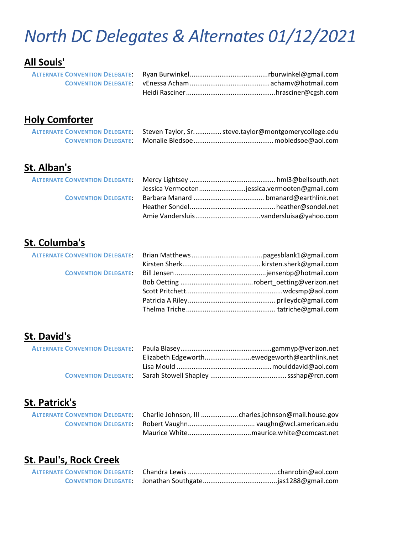# *North DC Delegates & Alternates 01/12/2021*

# **All Souls'**

# **Holy Comforter**

| ALTERNATE CONVENTION DELEGATE: Steven Taylor, Sr steve.taylor@montgomerycollege.edu |  |
|-------------------------------------------------------------------------------------|--|
|                                                                                     |  |

# **St. Alban's**

|  | Jessica Vermootenjessica.vermooten@gmail.com |
|--|----------------------------------------------|
|  |                                              |
|  |                                              |
|  |                                              |

# **St. Columba's**

# **St. David's**

|  | Elizabeth Edgeworthewedgeworth@earthlink.net |
|--|----------------------------------------------|
|  |                                              |
|  |                                              |

## **St. Patrick's**

|  | ALTERNATE CONVENTION DELEGATE: Charlie Johnson, III charles.johnson@mail.house.gov |
|--|------------------------------------------------------------------------------------|
|  |                                                                                    |
|  |                                                                                    |

# **St. Paul's, Rock Creek**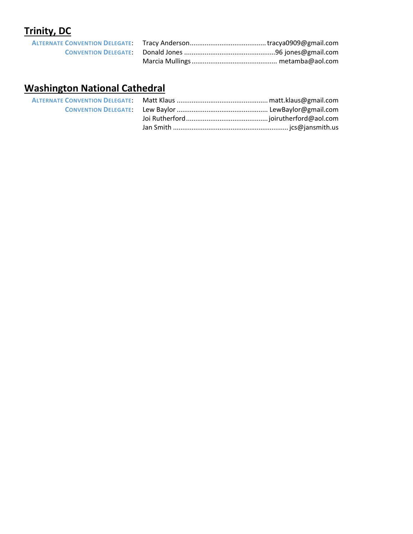# **Trinity, DC**

# **Washington National Cathedral**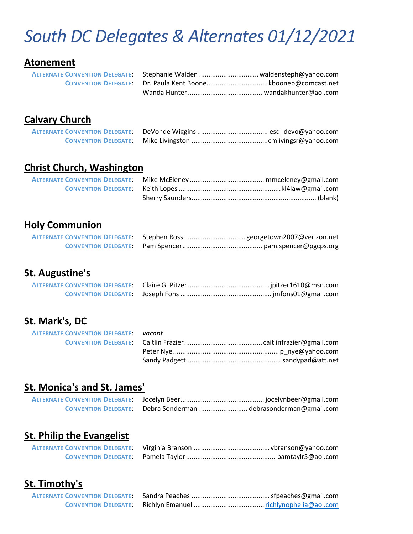# *South DC Delegates & Alternates 01/12/2021*

#### **Atonement**

| ALTERNATE CONVENTION DELEGATE: Stephanie Walden  waldensteph@yahoo.com |  |
|------------------------------------------------------------------------|--|
|                                                                        |  |
|                                                                        |  |

## **Calvary Church**

#### **Christ Church, Washington**

## **Holy Communion**

## **St. Augustine's**

## **St. Mark's, DC**

| <b>ALTERNATE CONVENTION DELEGATE:</b> vacant |  |
|----------------------------------------------|--|
|                                              |  |
|                                              |  |
|                                              |  |
|                                              |  |

#### **St. Monica's and St. James'**

|  | CONVENTION DELEGATE: Debra Sonderman debrasonderman@gmail.com |
|--|---------------------------------------------------------------|

# **St. Philip the Evangelist**

# **St. Timothy's**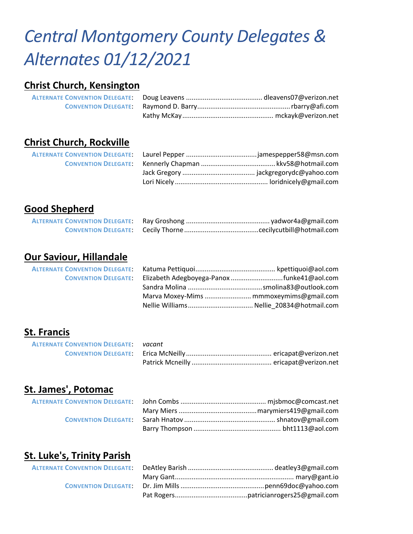# *Central Montgomery County Delegates & Alternates 01/12/2021*

#### **Christ Church, Kensington**

## **Christ Church, Rockville**

#### **Good Shepherd**

## **Our Saviour, Hillandale**

**ALTERNATE CONVENTION DELEGATE: CONVENTION DELEGATE:** 

| Elizabeth Adegboyega-Panox funke41@aol.com |  |
|--------------------------------------------|--|
|                                            |  |
| Marva Moxey-Mims  mmmoxeymims@gmail.com    |  |
| Nellie Williams Nellie_20834@hotmail.com   |  |

## **St. Francis**

| <b>ALTERNATE CONVENTION DELEGATE:</b> vacant |  |
|----------------------------------------------|--|
|                                              |  |
|                                              |  |

## **St. James', Potomac**

## **St. Luke's, Trinity Parish**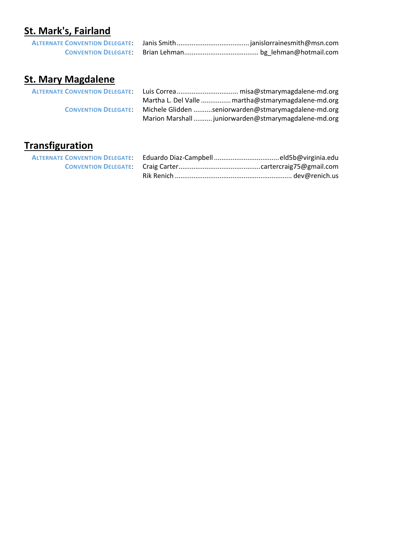# **St. Mark's, Fairland**

# **St. Mary Magdalene**

| <b>ALTERNATE CONVENTION DELEGATE:</b> |                                                      |
|---------------------------------------|------------------------------------------------------|
|                                       | Martha L. Del Valle  martha@stmarymagdalene-md.org   |
| <b>CONVENTION DELEGATE:</b>           | Michele Glidden seniorwarden@stmarymagdalene-md.org  |
|                                       | Marion Marshall  juniorwarden@stmarymagdalene-md.org |

# **Transfiguration**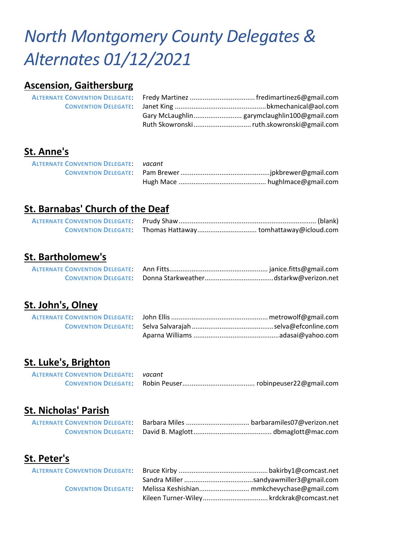# *North Montgomery County Delegates & Alternates 01/12/2021*

#### **Ascension, Gaithersburg**

# **St. Anne's**

| <b>ALTERNATE CONVENTION DELEGATE: vacant</b> |  |
|----------------------------------------------|--|
|                                              |  |
|                                              |  |

#### **St. Barnabas' Church of the Deaf**

## **St. Bartholomew's**

| <b>CONVENTION DELEGATE:</b> |  |
|-----------------------------|--|

## **St. John's, Olney**

#### **St. Luke's, Brighton**

| <b>ALTERNATE CONVENTION DELEGATE:</b> vacant |  |
|----------------------------------------------|--|
|                                              |  |

#### **St. Nicholas' Parish**

| <b>CONVENTION DELEGATE:</b> |  |
|-----------------------------|--|

## **St. Peter's**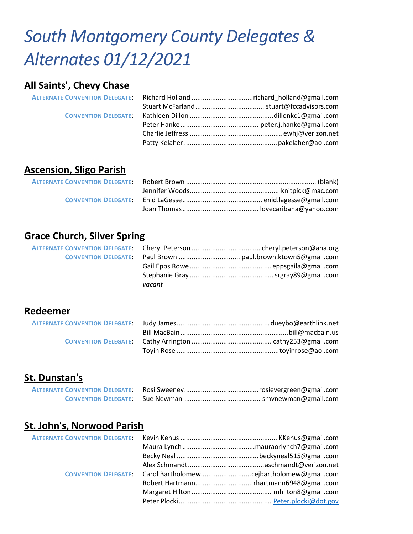# *South Montgomery County Delegates & Alternates 01/12/2021*

#### **All Saints', Chevy Chase**

## **Ascension, Sligo Parish**

## **Grace Church, Silver Spring**

| vacant |  |
|--------|--|

#### **Redeemer**

## **St. Dunstan's**

## **St. John's, Norwood Parish**

|  | CONVENTION DELEGATE: Carol Bartholomewcejbartholomew@gmail.com |
|--|----------------------------------------------------------------|
|  |                                                                |
|  |                                                                |
|  |                                                                |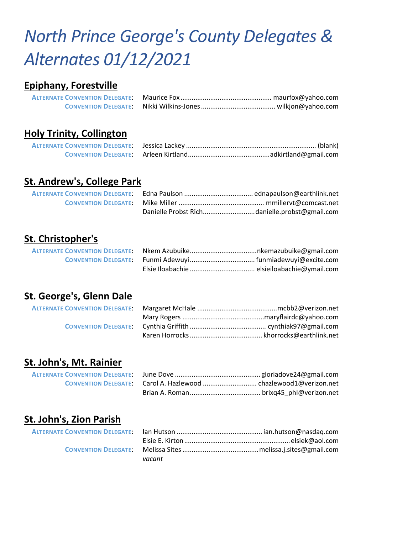# *North Prince George's County Delegates & Alternates 01/12/2021*

#### **Epiphany, Forestville**

#### **Holy Trinity, Collington**

## **St. Andrew's, College Park**

# **St. Christopher's**

## **St. George's, Glenn Dale**

## **St. John's, Mt. Rainier**

## **St. John's, Zion Parish**

| vacant |  |
|--------|--|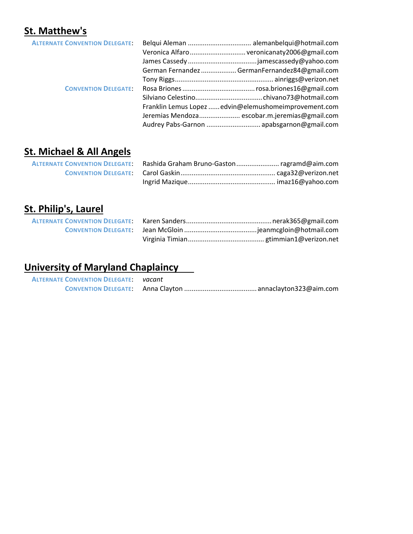# **St. Matthew's**

| <b>ALTERNATE CONVENTION DELEGATE:</b> |                                                       |
|---------------------------------------|-------------------------------------------------------|
|                                       |                                                       |
|                                       |                                                       |
|                                       | German Fernandez  GermanFernandez84@gmail.com         |
|                                       |                                                       |
| <b>CONVENTION DELEGATE:</b>           |                                                       |
|                                       |                                                       |
|                                       | Franklin Lemus Lopez  edvin@elemushomeimprovement.com |
|                                       | Jeremias Mendoza escobar.m.jeremias@gmail.com         |
|                                       | Audrey Pabs-Garnon  apabsgarnon@gmail.com             |
|                                       |                                                       |

# **St. Michael & All Angels**

# **St. Philip's, Laurel**

# **University of Maryland Chaplaincy**

| <b>ALTERNATE CONVENTION DELEGATE:</b> vacant |  |
|----------------------------------------------|--|
|                                              |  |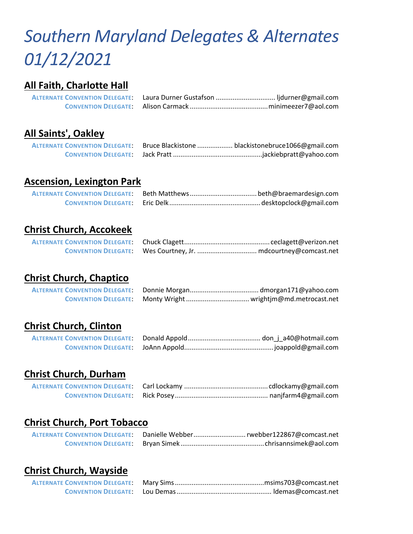# *Southern Maryland Delegates & Alternates 01/12/2021*

## **All Faith, Charlotte Hall**

## **All Saints', Oakley**

|  | ALTERNATE CONVENTION DELEGATE: Bruce Blackistone  blackistonebruce1066@gmail.com |
|--|----------------------------------------------------------------------------------|
|  |                                                                                  |

#### **Ascension, Lexington Park**

| <b>ALTERNATE CONVENTION DELEGATE:</b> |  |
|---------------------------------------|--|
|                                       |  |

# **Christ Church, Accokeek**

## **Christ Church, Chaptico**

| <b>ALTERNATE CONVENTION DELEGATE:</b> |  |
|---------------------------------------|--|
| <b>CONVENTION DELEGATE:</b>           |  |

## **Christ Church, Clinton**

## **Christ Church, Durham**

## **Christ Church, Port Tobacco**

## **Christ Church, Wayside**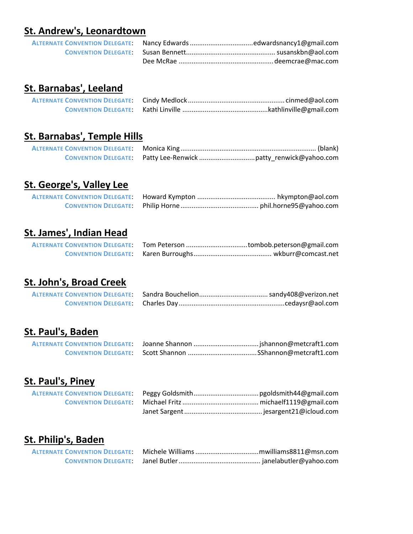#### **St. Andrew's, Leonardtown**

#### **St. Barnabas', Leeland**

## **St. Barnabas', Temple Hills**

## **St. George's, Valley Lee**

## **St. James', Indian Head**

## **St. John's, Broad Creek**

# **St. Paul's, Baden**

#### **St. Paul's, Piney**

# **St. Philip's, Baden**

| <b>ALTERNATE CONVENTION DELEGATE:</b> |  |
|---------------------------------------|--|
|                                       |  |